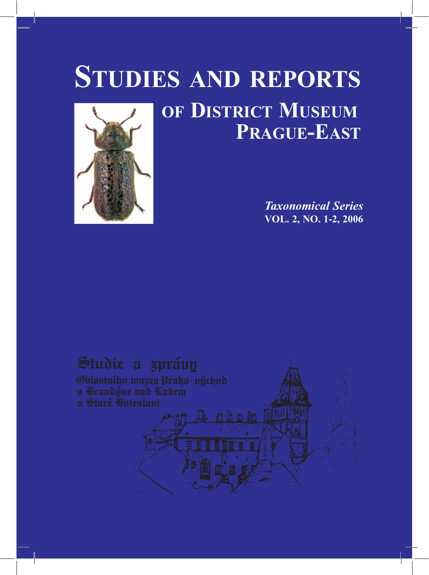# **OF DISTRICT MUSEUM PRAGUE-EAST STUDIES AND REPORTS**

aha lo Di



## Studie a zprávy

**Oblastního muzea Praha-východ** u Brandvse nad Labem a Staré Goleslaui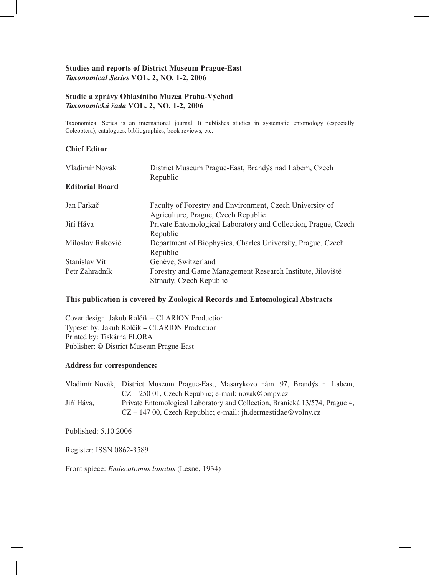#### **Studies and reports of District Museum Prague-East**  *Taxonomical Series* **VOL. 2, NO. 1-2, 2006**

#### **Studie a zprávy Oblastního Muzea Praha-Východ**  *Taxonomická řada* **VOL. 2, NO. 1-2, 2006**

Taxonomical Series is an international journal. It publishes studies in systematic entomology (especially Coleoptera), catalogues, bibliographies, book reviews, etc.

#### **Chief Editor**

| Vladimír Novák<br><b>Editorial Board</b> | District Museum Prague-East, Brandýs nad Labem, Czech<br>Republic |
|------------------------------------------|-------------------------------------------------------------------|
|                                          |                                                                   |
|                                          | Jan Farkač                                                        |
| Agriculture, Prague, Czech Republic      |                                                                   |
| Jiří Háva                                | Private Entomological Laboratory and Collection, Prague, Czech    |
|                                          | Republic                                                          |
| Miloslav Rakovič                         | Department of Biophysics, Charles University, Prague, Czech       |
|                                          | Republic                                                          |
| Stanislav Vít                            | Genève, Switzerland                                               |
| Petr Zahradník                           | Forestry and Game Management Research Institute, Jiloviště        |
|                                          | Strnady, Czech Republic                                           |

#### **This publication is covered by Zoological Records and Entomological Abstracts**

Cover design: Jakub Rolčík – CLARION Production Typeset by: Jakub Rolčík – CLARION Production Printed by: Tiskárna FLORA Publisher: © District Museum Prague-East

#### **Address for correspondence:**

Vladimír Novák, District Museum Prague-East, Masarykovo nám. 97, Brandýs n. Labem, CZ – 250 01, Czech Republic; e-mail: novak@ompv.cz Jiří Háva, Private Entomological Laboratory and Collection, Branická 13/574, Prague 4, CZ – 147 00, Czech Republic; e-mail: jh.dermestidae@volny.cz

Published: 5.10.2006

Register: ISSN 0862-3589

Front spiece: *Endecatomus lanatus* (Lesne, 1934)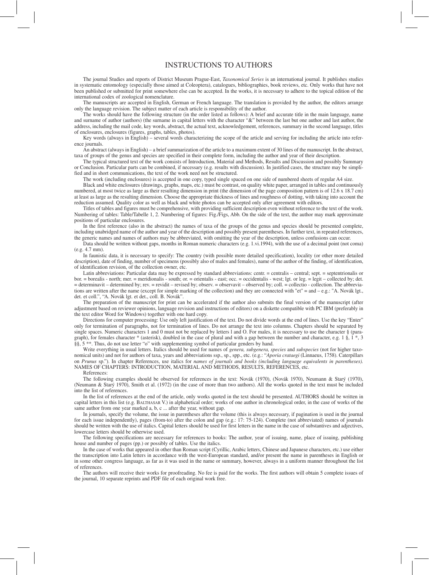#### INSTRUCTIONS TO AUTHORS

The journal Studies and reports of District Museum Prague-East, *Taxonomical Series* is an international journal. It publishes studies in systematic entomology (especially those aimed at Coleoptera), catalogues, bibliographies, book reviews, etc. Only works that have not been published or submitted for print somewhere else can be accepted. In the works, it is necessary to adhere to the topical edition of the international codex of zoological nomenclature.

The manuscripts are accepted in English, German or French language. The translation is provided by the author, the editors arrange only the language revision. The subject matter of each article is responsibility of the author.

The works should have the following structure (in the order listed as follows): A brief and accurate title in the main language, name and surname of author (authors) (the surname in capital letters with the character "&" between the last but one author and last author, the address, including the mail code, key words, abstract, the actual text, acknowledgement, references, summary in the second language, titles of enclosures, enclosures (figures, graphs, tables, photos).

Key words (always in English) – several words characterizing the scope of the article and serving for including the article into reference journals.

An abstract (always in English) – a brief summarization of the article to a maximum extent of 30 lines of the manuscript. In the abstract, taxa of groups of the genus and species are specified in their complete form, including the author and year of their description.

The typical structured text of the work consists of Introduction, Material and Methods, Results and Discussion and possibly Summary or Conclusion. Particular parts can be combined, if necessary (e.g. results with discussion). In justified cases, the structure may be simplified and in short communications, the text of the work need not be structured.

The work (including enclosures) is accepted in one copy, typed single spaced on one side of numbered sheets of regular A4 size.

Black and white enclosures (drawings, graphs, maps, etc.) must be contrast, on quality white paper, arranged in tables and continuously numbered, at most twice as large as their resulting dimension in print (the dimension of the page composition pattern is of 12.6 x 18.7 cm) at least as large as the resulting dimension. Choose the appropriate thickness of lines and roughness of dotting, with taking into account the reduction assumed. Quality color as well as black and white photos can be accepted only after agreement with editors.

Titles of tables and figures must be comprehensive, with providing sufficient description even without reference to the text of the work. Numbering of tables: Table/Tabelle 1, 2. Numbering of figures: Fig./Figs, Abb. On the side of the text, the author may mark approximate positions of particular enclosures.

In the first reference (also in the abstract) the names of taxa of the groups of the genus and species should be presented complete, including unabridged name of the author and year of the description and possibly present parentheses. In further text, in repeated references, the generic names and names of authors may be abbreviated, with omitting the year of the description, unless confusions can occur.

Data should be written without gaps, months in Roman numeric characters (e.g. 1.vi.1994), with the use of a decimal point (not coma) (e.g. 4.7 mm).

In faunistic data, it is necessary to specify: The country (with possible more detailed specification), locality (or other more detailed description), date of finding, number of specimens (possibly also of males and females), name of the author of the finding, of identification, of identification revision, of the collection owner, etc.

Latin abbreviations: Particular data may be expressed by standard abbreviations: centr. = centralis – central; sept. = septentrionalis or bor. = borealis - north; mer. = meridionalis - south; or. = orientalis - east; occ. = occidentalis - west; lgt. or leg. = legit – collected by; det. = determinavit – determined by; rev. = revidit – revised by; observ. = observavit – observed by; coll. = collectio - collection. The abbreviations are written after the name (except for simple marking of the collection) and they are connected with "et" = and – e.g.: "A. Novák lgt., det. et coll.", "A. Novák lgt. et det., coll. B. Novák".

The preparation of the manuscript for print can be accelerated if the author also submits the final version of the manuscript (after adjustment based on reviewer opinions, language revision and instructions of editors) on a diskette compatible with PC IBM (preferably in the text editor Word for Windows) together with one hard copy.

Directions for computer processing: Use only left justification of the text. Do not divide words at the end of lines. Use the key "Enter" only for termination of paragraphs, not for termination of lines. Do not arrange the text into columns. Chapters should be separated by single spaces. Numeric characters 1 and 0 must not be replaced by letters 1 and O. For males, it is necessary to use the character § (paragraph), for females character \* (asterisk), doubled in the case of plural and with a gap between the number and character, e.g. 1 §, 1 \*, 3 §§, 5<sup>\*\*</sup>. Thus, do not use letter "o" with supplementing symbol of particular genders by hand.

Write everything in usual letters. Italics should be used for names of *genera, subgenera, species* and *subspecies* (not for higher taxonomical units) and not for authors of taxa, years and abbreviations ssp., sp., spp., etc. (e.g.: "Aporia crataegi (Linnaeus, 1758). Caterpillars<br>on Prunus sp."). In chapter References, use italics for names of journals and NAMES OF CHAPTERS: INTRODUCTION, MATERIAL AND METHODS, RESULTS, REFERENCES, etc.

References:

The following examples should be observed for references in the text: Novák (1970), (Novák 1970), Neumann & Starý (1970), (Neumann & Starý 1970), Smith et al. (1972) (in the case of more than two authors). All the works quoted in the text must be included into the list of references.

In the list of references at the end of the article, only works quoted in the text should be presented. AUTHORS should be written in capital letters in this list (e.g. BALTHASAR V.) in alphabetical order; works of one author in chronological order, in the case of works of the same author from one year marked a, b, c ... after the year, without gap.

In journals, specify the volume, the issue in parentheses after the volume (this is always necessary, if pagination is used in the journal for each issue independently), pages (from-to) after the colon and gap (e.g.: 17: 75-124). Complete (not abbreviated) names of journals should be written with the use of italics. Capital letters should be used for first letters in the name in the case of substantives and adjectives, lowercase letters should be otherwise used.

The following specifications are necessary for references to books: The author, year of issuing, name, place of issuing, publishing house and number of pages (pp.) or possibly of tables. Use the italics.

In the case of works that appeared in other than Roman script (Cyrillic, Arabic letters, Chinese and Japanese characters, etc.) use either the transcription into Latin letters in accordance with the west-European standard, and/or present the name in parentheses in English or in some other congress language, as far as it was used in the name or summary, however, always in a uniform manner throughout the list of references.

The authors will receive their works for proofreading. No fee is paid for the works. The first authors will obtain 5 complete issues of the journal, 10 separate reprints and PDF file of each original work free.